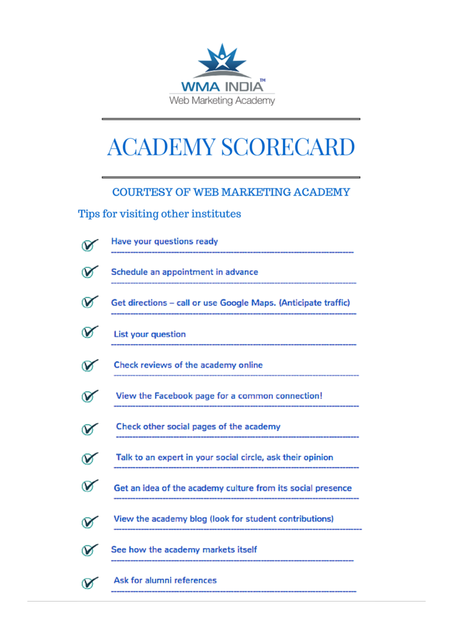

## **ACADEMY SCORECARD**

## **COURTESY OF WEB MARKETING ACADEMY**

## Tips for visiting other institutes

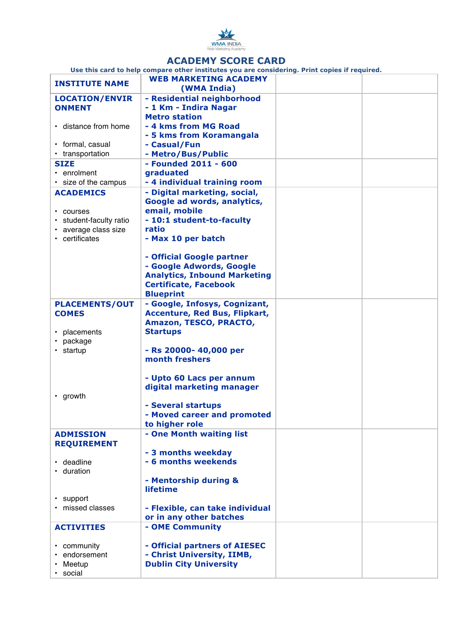

## **ACADEMY SCORE CARD**

**Use this card to help compare other institutes you are considering. Print copies if required.**

|                               | ose this card to help compare other mstitutes you are considering. Frint copies in required.<br><b>WEB MARKETING ACADEMY</b> |  |
|-------------------------------|------------------------------------------------------------------------------------------------------------------------------|--|
| <b>INSTITUTE NAME</b>         | (WMA India)                                                                                                                  |  |
|                               |                                                                                                                              |  |
| <b>LOCATION/ENVIR</b>         | - Residential neighborhood                                                                                                   |  |
| <b>ONMENT</b>                 | - 1 Km - Indira Nagar                                                                                                        |  |
|                               | <b>Metro station</b>                                                                                                         |  |
| • distance from home          | - 4 kms from MG Road                                                                                                         |  |
|                               | - 5 kms from Koramangala                                                                                                     |  |
| • formal, casual              | - Casual/Fun                                                                                                                 |  |
| • transportation              | - Metro/Bus/Public                                                                                                           |  |
| <b>SIZE</b>                   | - Founded 2011 - 600                                                                                                         |  |
| $\cdot$ enrolment             | graduated                                                                                                                    |  |
| · size of the campus          | - 4 individual training room                                                                                                 |  |
| <b>ACADEMICS</b>              | - Digital marketing, social,                                                                                                 |  |
|                               | Google ad words, analytics,                                                                                                  |  |
| $\cdot$ courses               | email, mobile                                                                                                                |  |
| • student-faculty ratio       | - 10:1 student-to-faculty                                                                                                    |  |
| • average class size          | ratio                                                                                                                        |  |
| • certificates                | - Max 10 per batch                                                                                                           |  |
|                               |                                                                                                                              |  |
|                               | - Official Google partner                                                                                                    |  |
|                               |                                                                                                                              |  |
|                               | - Google Adwords, Google                                                                                                     |  |
|                               | <b>Analytics, Inbound Marketing</b>                                                                                          |  |
|                               | <b>Certificate, Facebook</b>                                                                                                 |  |
|                               | <b>Blueprint</b>                                                                                                             |  |
| <b>PLACEMENTS/OUT</b>         | - Google, Infosys, Cognizant,                                                                                                |  |
| <b>COMES</b>                  | <b>Accenture, Red Bus, Flipkart,</b>                                                                                         |  |
|                               | Amazon, TESCO, PRACTO,                                                                                                       |  |
| • placements                  | <b>Startups</b>                                                                                                              |  |
| package                       |                                                                                                                              |  |
| $\cdot$ startup               | - Rs 20000- 40,000 per                                                                                                       |  |
|                               | month freshers                                                                                                               |  |
|                               |                                                                                                                              |  |
|                               | - Upto 60 Lacs per annum                                                                                                     |  |
|                               | digital marketing manager                                                                                                    |  |
| • growth                      |                                                                                                                              |  |
|                               | - Several startups                                                                                                           |  |
|                               | - Moved career and promoted                                                                                                  |  |
|                               | to higher role                                                                                                               |  |
| <b>ADMISSION</b>              | - One Month waiting list                                                                                                     |  |
| <b>REQUIREMENT</b>            |                                                                                                                              |  |
|                               | - 3 months weekday                                                                                                           |  |
| • deadline                    | - 6 months weekends                                                                                                          |  |
| • duration                    |                                                                                                                              |  |
|                               | - Mentorship during &                                                                                                        |  |
|                               | <b>lifetime</b>                                                                                                              |  |
|                               |                                                                                                                              |  |
| • support<br>• missed classes | - Flexible, can take individual                                                                                              |  |
|                               | or in any other batches                                                                                                      |  |
|                               |                                                                                                                              |  |
| <b>ACTIVITIES</b>             | - OME Community                                                                                                              |  |
|                               |                                                                                                                              |  |
| • community                   | - Official partners of AIESEC                                                                                                |  |
| endorsement                   | - Christ University, IIMB,                                                                                                   |  |
| Meetup                        | <b>Dublin City University</b>                                                                                                |  |
| · social                      |                                                                                                                              |  |